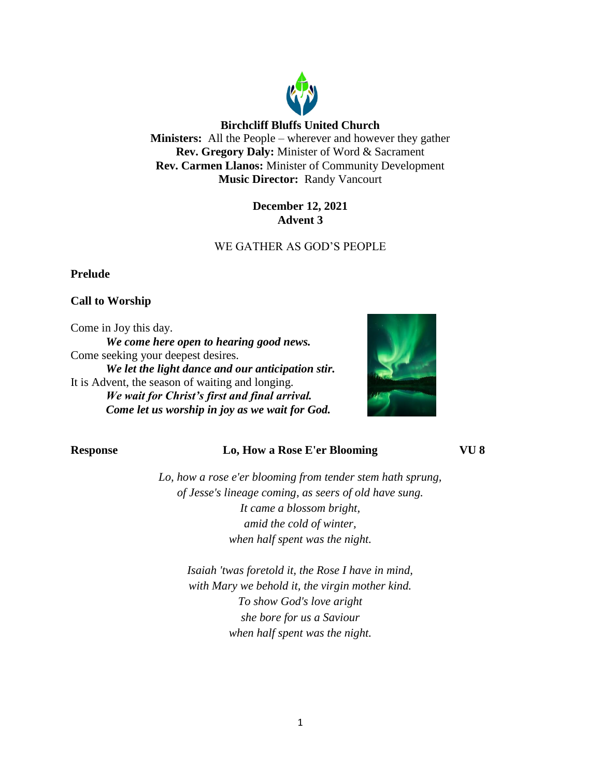

## **December 12, 2021 Advent 3**

# WE GATHER AS GOD'S PEOPLE

#### **Prelude**

### **Call to Worship**

Come in Joy this day.

*We come here open to hearing good news.* Come seeking your deepest desires. *We let the light dance and our anticipation stir.* It is Advent, the season of waiting and longing. *We wait for Christ's first and final arrival. Come let us worship in joy as we wait for God.*



### **Response Lo, How a Rose E'er Blooming VU 8**

*Lo, how a rose e'er blooming from tender stem hath sprung, of Jesse's lineage coming, as seers of old have sung. It came a blossom bright, amid the cold of winter, when half spent was the night.*

> *Isaiah 'twas foretold it, the Rose I have in mind, with Mary we behold it, the virgin mother kind. To show God's love aright she bore for us a Saviour when half spent was the night.*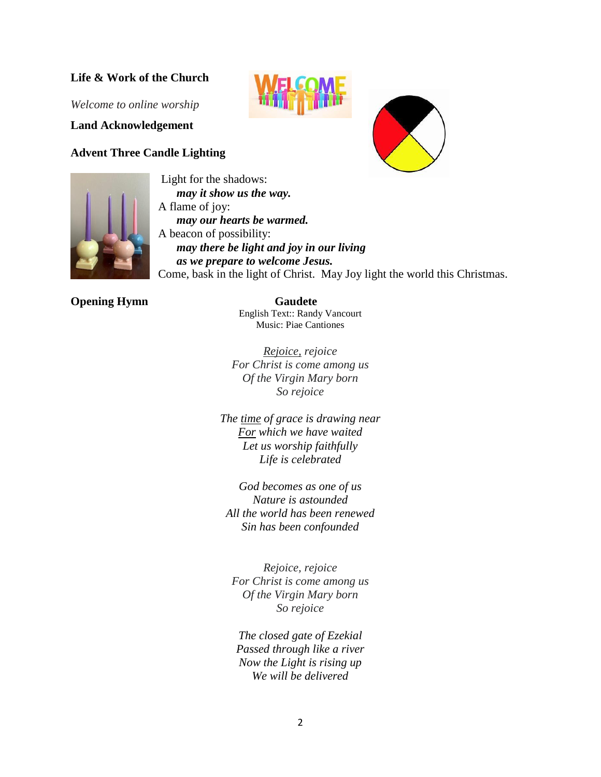## **Life & Work of the Church**

*Welcome to online worship*

**Land Acknowledgement**

#### **Advent Three Candle Lighting**







Light for the shadows: *may it show us the way.* A flame of joy: *may our hearts be warmed.* A beacon of possibility: *may there be light and joy in our living as we prepare to welcome Jesus.* Come, bask in the light of Christ. May Joy light the world this Christmas.

#### **Opening Hymn** Gaudete

English Text:: Randy Vancourt Music: Piae Cantiones

*Rejoice, rejoice For Christ is come among us Of the Virgin Mary born So rejoice*

*The time of grace is drawing near For which we have waited Let us worship faithfully Life is celebrated*

*God becomes as one of us Nature is astounded All the world has been renewed Sin has been confounded*

*Rejoice, rejoice For Christ is come among us Of the Virgin Mary born So rejoice*

*The closed gate of Ezekial Passed through like a river Now the Light is rising up We will be delivered*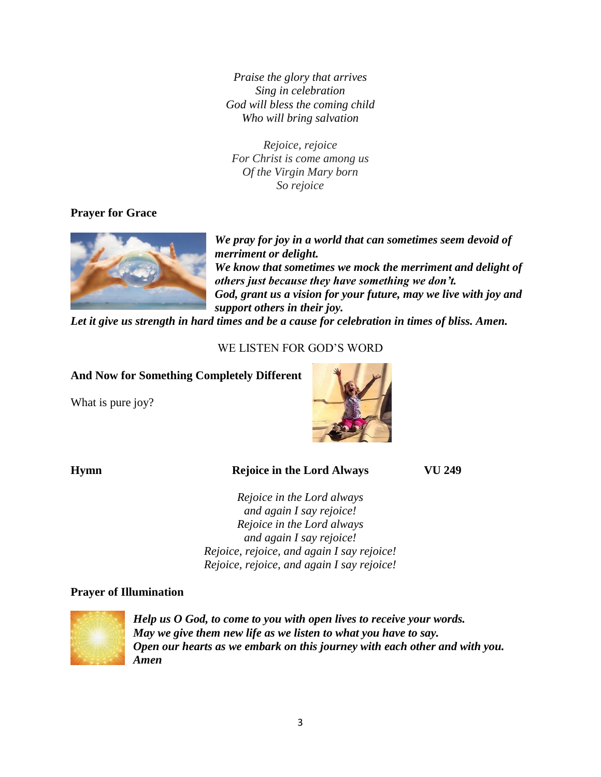*Praise the glory that arrives Sing in celebration God will bless the coming child Who will bring salvation*

*Rejoice, rejoice For Christ is come among us Of the Virgin Mary born So rejoice*

# **Prayer for Grace**



*We pray for joy in a world that can sometimes seem devoid of merriment or delight. We know that sometimes we mock the merriment and delight of others just because they have something we don't. God, grant us a vision for your future, may we live with joy and support others in their joy.* 

*Let it give us strength in hard times and be a cause for celebration in times of bliss. Amen.*

# WE LISTEN FOR GOD'S WORD

# **And Now for Something Completely Different**

What is pure joy?



# **Hymn Rejoice in the Lord Always VU 249**

*Rejoice in the Lord always and again I say rejoice! Rejoice in the Lord always and again I say rejoice! Rejoice, rejoice, and again I say rejoice! Rejoice, rejoice, and again I say rejoice!*

#### **Prayer of Illumination**



*Help us O God, to come to you with open lives to receive your words. May we give them new life as we listen to what you have to say. Open our hearts as we embark on this journey with each other and with you. Amen*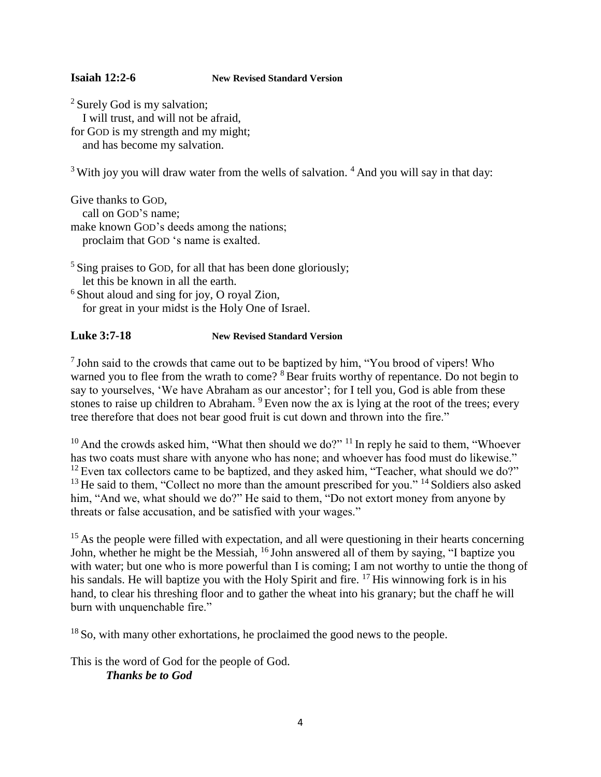#### **Isaiah 12:2-6 New Revised Standard Version**

<sup>2</sup> Surely God is my salvation; I will trust, and will not be afraid, for GOD is my strength and my might; and has become my salvation.

 $3$  With joy you will draw water from the wells of salvation.  $4$  And you will say in that day:

Give thanks to GOD, call on GOD'S name; make known GOD's deeds among the nations; proclaim that GOD 's name is exalted.

 $<sup>5</sup>$  Sing praises to GOD, for all that has been done gloriously;</sup> let this be known in all the earth. <sup>6</sup> Shout aloud and sing for joy, O royal Zion, for great in your midst is the Holy One of Israel.

#### **Luke 3:7-18 New Revised Standard Version**

<sup>7</sup> John said to the crowds that came out to be baptized by him, "You brood of vipers! Who warned you to flee from the wrath to come? <sup>8</sup> Bear fruits worthy of repentance. Do not begin to say to yourselves, 'We have Abraham as our ancestor'; for I tell you, God is able from these stones to raise up children to Abraham. <sup>9</sup> Even now the ax is lying at the root of the trees; every tree therefore that does not bear good fruit is cut down and thrown into the fire."

 $10$  And the crowds asked him, "What then should we do?"  $11$  In reply he said to them, "Whoever has two coats must share with anyone who has none; and whoever has food must do likewise."  $12$  Even tax collectors came to be baptized, and they asked him, "Teacher, what should we do?" <sup>13</sup> He said to them, "Collect no more than the amount prescribed for you." <sup>14</sup> Soldiers also asked him, "And we, what should we do?" He said to them, "Do not extort money from anyone by threats or false accusation, and be satisfied with your wages."

<sup>15</sup> As the people were filled with expectation, and all were questioning in their hearts concerning John, whether he might be the Messiah, <sup>16</sup> John answered all of them by saying, "I baptize you with water; but one who is more powerful than I is coming; I am not worthy to untie the thong of his sandals. He will baptize you with the Holy Spirit and fire. <sup>17</sup> His winnowing fork is in his hand, to clear his threshing floor and to gather the wheat into his granary; but the chaff he will burn with unquenchable fire."

 $18$  So, with many other exhortations, he proclaimed the good news to the people.

This is the word of God for the people of God. *Thanks be to God*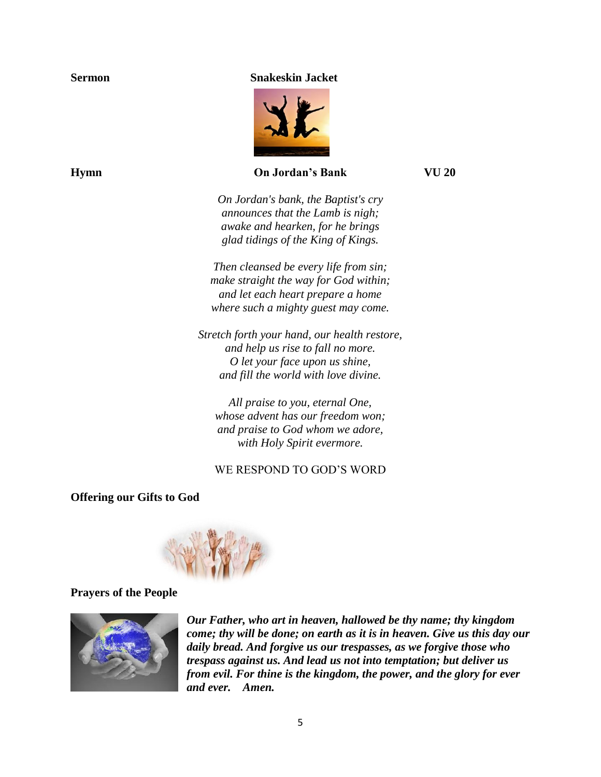#### **Sermon Snakeskin Jacket**



#### **Hymn On Jordan's Bank VU 20**

*On Jordan's bank, the Baptist's cry announces that the Lamb is nigh; awake and hearken, for he brings glad tidings of the King of Kings.*

*Then cleansed be every life from sin; make straight the way for God within; and let each heart prepare a home where such a mighty guest may come.*

*Stretch forth your hand, our health restore, and help us rise to fall no more. O let your face upon us shine, and fill the world with love divine.*

*All praise to you, eternal One, whose advent has our freedom won; and praise to God whom we adore, with Holy Spirit evermore.*

## WE RESPOND TO GOD'S WORD

#### **Offering our Gifts to God**



#### **Prayers of the People**



*Our Father, who art in heaven, hallowed be thy name; thy kingdom come; thy will be done; on earth as it is in heaven. Give us this day our daily bread. And forgive us our trespasses, as we forgive those who trespass against us. And lead us not into temptation; but deliver us from evil. For thine is the kingdom, the power, and the glory for ever and ever. Amen.*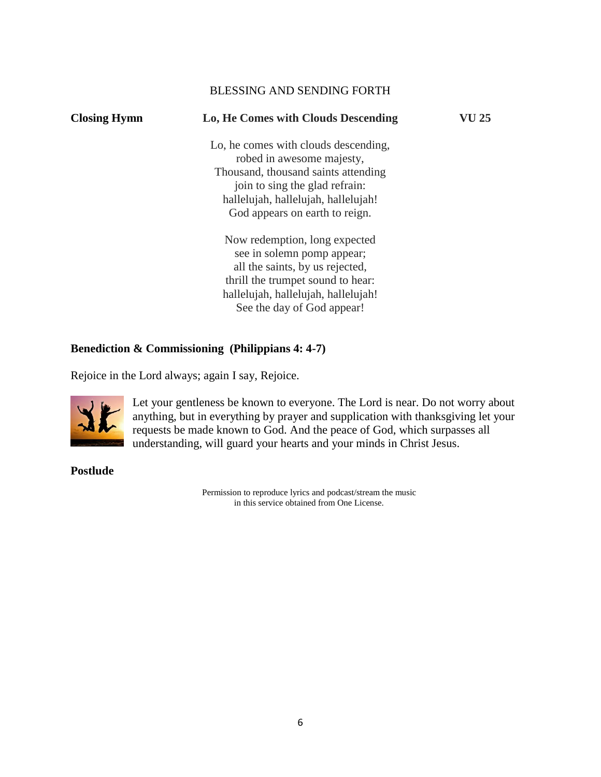### BLESSING AND SENDING FORTH

| <b>Closing Hymn</b> | Lo, He Comes with Clouds Descending                                  | VU 25 |
|---------------------|----------------------------------------------------------------------|-------|
|                     | Lo, he comes with clouds descending,                                 |       |
|                     | robed in awesome majesty,<br>Thousand, thousand saints attending     |       |
|                     | join to sing the glad refrain:                                       |       |
|                     | hallelujah, hallelujah, hallelujah!                                  |       |
|                     | God appears on earth to reign.                                       |       |
|                     | Now redemption, long expected                                        |       |
|                     | see in solemn pomp appear;                                           |       |
|                     | all the saints, by us rejected,<br>thrill the trumpet sound to hear: |       |
|                     | hallelujah, hallelujah, hallelujah!                                  |       |
|                     | See the day of God appear!                                           |       |
|                     |                                                                      |       |

# **Benediction & Commissioning (Philippians 4: 4-7)**

Rejoice in the Lord always; again I say, Rejoice.



Let your gentleness be known to everyone. The Lord is near. Do not worry about anything, but in everything by prayer and supplication with thanksgiving let your requests be made known to God. And the peace of God, which surpasses all understanding, will guard your hearts and your minds in Christ Jesus.

**Postlude** 

Permission to reproduce lyrics and podcast/stream the music in this service obtained from One License.